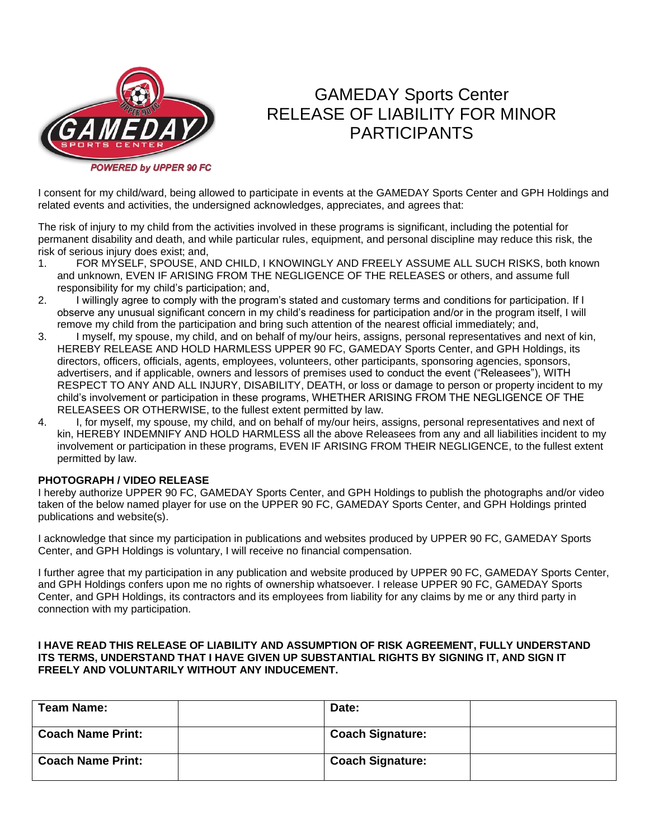

## GAMEDAY Sports Center RELEASE OF LIABILITY FOR MINOR PARTICIPANTS

I consent for my child/ward, being allowed to participate in events at the GAMEDAY Sports Center and GPH Holdings and related events and activities, the undersigned acknowledges, appreciates, and agrees that:

The risk of injury to my child from the activities involved in these programs is significant, including the potential for permanent disability and death, and while particular rules, equipment, and personal discipline may reduce this risk, the risk of serious injury does exist; and,

- 1. FOR MYSELF, SPOUSE, AND CHILD, I KNOWINGLY AND FREELY ASSUME ALL SUCH RISKS, both known and unknown, EVEN IF ARISING FROM THE NEGLIGENCE OF THE RELEASES or others, and assume full responsibility for my child's participation; and,
- 2. I willingly agree to comply with the program's stated and customary terms and conditions for participation. If I observe any unusual significant concern in my child's readiness for participation and/or in the program itself, I will remove my child from the participation and bring such attention of the nearest official immediately; and,
- 3. I myself, my spouse, my child, and on behalf of my/our heirs, assigns, personal representatives and next of kin, HEREBY RELEASE AND HOLD HARMLESS UPPER 90 FC, GAMEDAY Sports Center, and GPH Holdings, its directors, officers, officials, agents, employees, volunteers, other participants, sponsoring agencies, sponsors, advertisers, and if applicable, owners and lessors of premises used to conduct the event ("Releasees"), WITH RESPECT TO ANY AND ALL INJURY, DISABILITY, DEATH, or loss or damage to person or property incident to my child's involvement or participation in these programs, WHETHER ARISING FROM THE NEGLIGENCE OF THE RELEASEES OR OTHERWISE, to the fullest extent permitted by law.
- 4. I, for myself, my spouse, my child, and on behalf of my/our heirs, assigns, personal representatives and next of kin, HEREBY INDEMNIFY AND HOLD HARMLESS all the above Releasees from any and all liabilities incident to my involvement or participation in these programs, EVEN IF ARISING FROM THEIR NEGLIGENCE, to the fullest extent permitted by law.

## **PHOTOGRAPH / VIDEO RELEASE**

I hereby authorize UPPER 90 FC, GAMEDAY Sports Center, and GPH Holdings to publish the photographs and/or video taken of the below named player for use on the UPPER 90 FC, GAMEDAY Sports Center, and GPH Holdings printed publications and website(s).

I acknowledge that since my participation in publications and websites produced by UPPER 90 FC, GAMEDAY Sports Center, and GPH Holdings is voluntary, I will receive no financial compensation.

I further agree that my participation in any publication and website produced by UPPER 90 FC, GAMEDAY Sports Center, and GPH Holdings confers upon me no rights of ownership whatsoever. I release UPPER 90 FC, GAMEDAY Sports Center, and GPH Holdings, its contractors and its employees from liability for any claims by me or any third party in connection with my participation.

## **I HAVE READ THIS RELEASE OF LIABILITY AND ASSUMPTION OF RISK AGREEMENT, FULLY UNDERSTAND ITS TERMS, UNDERSTAND THAT I HAVE GIVEN UP SUBSTANTIAL RIGHTS BY SIGNING IT, AND SIGN IT FREELY AND VOLUNTARILY WITHOUT ANY INDUCEMENT.**

| <b>Team Name:</b>        | Date:                   |  |
|--------------------------|-------------------------|--|
| <b>Coach Name Print:</b> | <b>Coach Signature:</b> |  |
| <b>Coach Name Print:</b> | <b>Coach Signature:</b> |  |